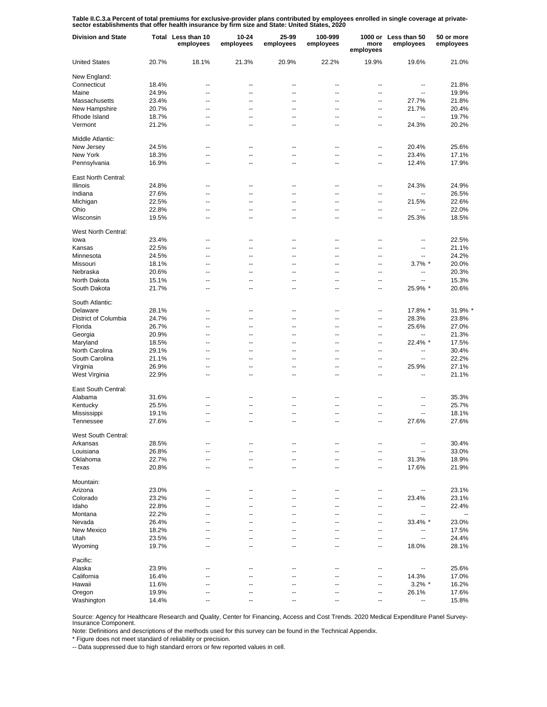Table II.C.3.a Percent of total premiums for exclusive-provider plans contributed by employees enrolled in single coverage at private-<br>sector establishments that offer health insurance by firm size and State: United States

| <b>Division and State</b> |       | Total Less than 10<br>employees | 10-24<br>employees       | 25-99<br>employees       | 100-999<br>employees     | more<br>employees        | 1000 or Less than 50<br>employees | 50 or more<br>employees  |
|---------------------------|-------|---------------------------------|--------------------------|--------------------------|--------------------------|--------------------------|-----------------------------------|--------------------------|
| <b>United States</b>      | 20.7% | 18.1%                           | 21.3%                    | 20.9%                    | 22.2%                    | 19.9%                    | 19.6%                             | 21.0%                    |
| New England:              |       |                                 |                          |                          |                          |                          |                                   |                          |
| Connecticut               | 18.4% | --                              | --                       | --                       | $\overline{\phantom{a}}$ | --                       | --                                | 21.8%                    |
| Maine                     | 24.9% | --                              | --                       | --                       | $\overline{\phantom{a}}$ | $\overline{a}$           | ٠.                                | 19.9%                    |
| Massachusetts             | 23.4% | --                              | --                       | $\overline{a}$           | $\overline{a}$           | $\overline{a}$           | 27.7%                             | 21.8%                    |
| New Hampshire             | 20.7% | --                              | --                       | --                       | $\overline{\phantom{a}}$ | --                       | 21.7%                             | 20.4%                    |
| Rhode Island              | 18.7% | --                              | --                       | --                       | $\overline{\phantom{a}}$ | --                       | $\overline{a}$                    | 19.7%                    |
| Vermont                   | 21.2% | --                              | --                       | --                       | $\overline{\phantom{a}}$ | --                       | 24.3%                             | 20.2%                    |
| Middle Atlantic:          |       |                                 |                          |                          |                          |                          |                                   |                          |
| New Jersey                | 24.5% | $\overline{a}$                  | $\overline{a}$           | $\overline{a}$           | $\overline{a}$           | $\overline{\phantom{a}}$ | 20.4%                             | 25.6%                    |
| New York                  | 18.3% | $\overline{\phantom{a}}$        | $\overline{\phantom{a}}$ | $\overline{\phantom{a}}$ | $\overline{a}$           | Ξ.                       | 23.4%                             | 17.1%                    |
| Pennsylvania              | 16.9% | $\overline{a}$                  | $\overline{a}$           | $\overline{a}$           | $\overline{a}$           | $\overline{a}$           | 12.4%                             | 17.9%                    |
| East North Central:       |       |                                 |                          |                          |                          |                          |                                   |                          |
| Illinois                  | 24.8% | --                              | --                       | --                       | $\overline{\phantom{a}}$ | --                       | 24.3%                             | 24.9%                    |
| Indiana                   | 27.6% | --                              | --                       | --                       | $\overline{\phantom{a}}$ | --                       | ц,                                | 26.5%                    |
| Michigan                  | 22.5% | ۵.                              | Ξ.                       | Ξ.                       | $\overline{\phantom{a}}$ | --                       | 21.5%                             | 22.6%                    |
| Ohio                      | 22.8% | --                              | --                       | --                       | $\overline{\phantom{a}}$ | --                       | Ξ.                                | 22.0%                    |
| Wisconsin                 | 19.5% | --                              | --                       | $\overline{a}$           | $\overline{a}$           | $\overline{\phantom{a}}$ | 25.3%                             | 18.5%                    |
| West North Central:       |       |                                 |                          |                          |                          |                          |                                   |                          |
| lowa                      | 23.4% | --                              | --                       | --                       | $\overline{\phantom{a}}$ | --                       | --                                | 22.5%                    |
| Kansas                    | 22.5% | --                              | --                       | --                       | $\overline{\phantom{a}}$ | ц.                       | ۰.                                | 21.1%                    |
| Minnesota                 | 24.5% | --                              | --                       | --                       | $\overline{\phantom{a}}$ | --                       | --                                | 24.2%                    |
| Missouri                  | 18.1% | --                              | --                       | --                       | $\overline{\phantom{a}}$ | --                       | $3.7\%$ *                         | 20.0%                    |
| Nebraska                  | 20.6% | $\overline{a}$                  | $\overline{a}$           | $\overline{a}$           | $\overline{a}$           | $\overline{a}$           | --                                | 20.3%                    |
| North Dakota              | 15.1% | --                              | --                       | --                       | $\overline{\phantom{a}}$ | $\overline{a}$           | $\overline{a}$                    | 15.3%                    |
| South Dakota              | 21.7% | $\overline{a}$                  | $\overline{a}$           | $\overline{a}$           | $\overline{a}$           | $\overline{a}$           | 25.9% *                           | 20.6%                    |
| South Atlantic:           |       |                                 |                          |                          |                          |                          |                                   |                          |
| Delaware                  | 28.1% | $\overline{a}$                  | $\overline{a}$           | $\overline{a}$           | $\overline{a}$           | --                       | 17.8% *                           | 31.9% *                  |
| District of Columbia      | 24.7% | $\overline{a}$                  | $\overline{a}$           | $\overline{a}$           | ÷.                       | $\overline{\phantom{a}}$ | 28.3%                             | 23.8%                    |
| Florida                   | 26.7% | $\overline{a}$                  | $\overline{a}$           | $\overline{a}$           | ÷.                       | $\overline{a}$           | 25.6%                             | 27.0%                    |
| Georgia                   | 20.9% | $\overline{a}$                  | ä.                       | Ξ.                       | ÷.                       | ä.                       | Ξ.                                | 21.3%                    |
| Maryland                  | 18.5% | $\overline{a}$                  | $\overline{a}$           | $\overline{a}$           | ÷.                       | $\overline{\phantom{a}}$ | 22.4% *                           | 17.5%                    |
| North Carolina            | 29.1% | Ξ.                              | $\overline{a}$           | Ξ.                       | ÷.                       | $\overline{\phantom{a}}$ | $\overline{a}$                    | 30.4%                    |
| South Carolina            | 21.1% | $\overline{\phantom{a}}$        | $\overline{a}$           | $\overline{a}$           | $\overline{a}$           | $\overline{a}$           | $\overline{\phantom{a}}$          | 22.2%                    |
| Virginia                  | 26.9% | $\overline{a}$                  | $\overline{a}$           | $\overline{a}$           | $\overline{a}$           | $\overline{a}$           | 25.9%                             | 27.1%                    |
| West Virginia             | 22.9% | $\overline{a}$                  | $\overline{a}$           | $\overline{a}$           | $\overline{\phantom{a}}$ | $\overline{a}$           | $\overline{a}$                    | 21.1%                    |
| East South Central:       |       |                                 |                          |                          |                          |                          |                                   |                          |
| Alabama                   | 31.6% | --                              | --                       | --                       | $\overline{\phantom{a}}$ | --                       | --                                | 35.3%                    |
| Kentucky                  | 25.5% | --                              | --                       | Ξ.                       | $\overline{\phantom{a}}$ | --                       | --                                | 25.7%                    |
|                           | 19.1% | --                              | --                       | --                       | $\overline{\phantom{a}}$ | --                       | Ш,                                | 18.1%                    |
| Mississippi               | 27.6% | --                              | --                       | --                       | $\overline{a}$           | $\overline{a}$           | 27.6%                             | 27.6%                    |
| Tennessee                 |       |                                 |                          |                          |                          |                          |                                   |                          |
| West South Central:       |       |                                 |                          |                          |                          |                          |                                   |                          |
| Arkansas                  | 28.5% |                                 |                          |                          |                          | --                       | --                                | 30.4%                    |
| Louisiana                 | 26.8% | --                              | --                       | --                       | $\overline{\phantom{a}}$ | --                       | --                                | 33.0%                    |
| Oklahoma                  | 22.7% | --                              | --                       | --                       | --                       | --                       | 31.3%                             | 18.9%                    |
| Texas                     | 20.8% | --                              | --                       | --                       | $\overline{\phantom{a}}$ | ۰.                       | 17.6%                             | 21.9%                    |
| Mountain:                 |       |                                 |                          |                          |                          |                          |                                   |                          |
| Arizona                   | 23.0% | $\overline{a}$                  | $\overline{a}$           | $\overline{a}$           | $\overline{\phantom{a}}$ | $\overline{a}$           | --                                | 23.1%                    |
| Colorado                  | 23.2% | $\overline{a}$                  | $\overline{a}$           | $\overline{a}$           | $\overline{\phantom{a}}$ | $\overline{a}$           | 23.4%                             | 23.1%                    |
| Idaho                     | 22.8% | --                              | --                       | --                       | --                       | $\overline{a}$           | --                                | 22.4%                    |
| Montana                   | 22.2% | $\overline{a}$                  | $\overline{a}$           | --                       | $\overline{\phantom{a}}$ | $\overline{a}$           | --                                | $\overline{\phantom{a}}$ |
| Nevada                    | 26.4% | $\overline{a}$                  | $\overline{a}$           | $\overline{a}$           | $\overline{\phantom{a}}$ | $\overline{a}$           | 33.4% *                           | 23.0%                    |
| New Mexico                | 18.2% | --                              | $\overline{a}$           | $\overline{a}$           | $\overline{\phantom{a}}$ | $\ddotsc$                | --                                | 17.5%                    |
| Utah                      | 23.5% | $\overline{a}$                  | $\overline{a}$           | $\overline{a}$           | $\overline{\phantom{a}}$ | $\ddotsc$                | --                                | 24.4%                    |
| Wyoming                   | 19.7% | $\overline{a}$                  | $\overline{a}$           | $\overline{a}$           | $\overline{\phantom{a}}$ | $\ddotsc$                | 18.0%                             | 28.1%                    |
| Pacific:                  |       |                                 |                          |                          |                          |                          |                                   |                          |
| Alaska                    | 23.9% | --                              | --                       | --                       | $\overline{\phantom{a}}$ | --                       | --                                | 25.6%                    |
| California                | 16.4% | --                              | --                       | --                       | Ξ.                       | --                       | 14.3%                             | 17.0%                    |
| Hawaii                    | 11.6% | --                              | --                       | --                       | $\overline{\phantom{a}}$ | --                       | $3.2\%$ *                         | 16.2%                    |
| Oregon                    | 19.9% | --                              | --                       | $\overline{a}$           | $\overline{a}$           | --                       | 26.1%                             | 17.6%                    |
| Washington                | 14.4% | --                              | --                       | --                       | --                       | --                       | ۰.                                | 15.8%                    |

Source: Agency for Healthcare Research and Quality, Center for Financing, Access and Cost Trends. 2020 Medical Expenditure Panel Survey-Insurance Component.

Note: Definitions and descriptions of the methods used for this survey can be found in the Technical Appendix.

\* Figure does not meet standard of reliability or precision.

-- Data suppressed due to high standard errors or few reported values in cell.